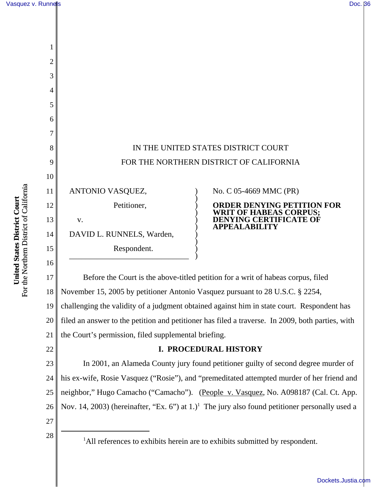

18 19 20 November 15, 2005 by petitioner Antonio Vasquez pursuant to 28 U.S.C. § 2254, challenging the validity of a judgment obtained against him in state court. Respondent has filed an answer to the petition and petitioner has filed a traverse. In 2009, both parties, with

21 the Court's permission, filed supplemental briefing.

# **I. PROCEDURAL HISTORY**

23 24 25 26 27 In 2001, an Alameda County jury found petitioner guilty of second degree murder of his ex-wife, Rosie Vasquez ("Rosie"), and "premeditated attempted murder of her friend and neighbor," Hugo Camacho ("Camacho"). (People v. Vasquez, No. A098187 (Cal. Ct. App. Nov. 14, 2003) (hereinafter, "Ex. 6") at  $1$ .)<sup>1</sup> The jury also found petitioner personally used a

28 <sup>1</sup>

22

<sup>1</sup>All references to exhibits herein are to exhibits submitted by respondent.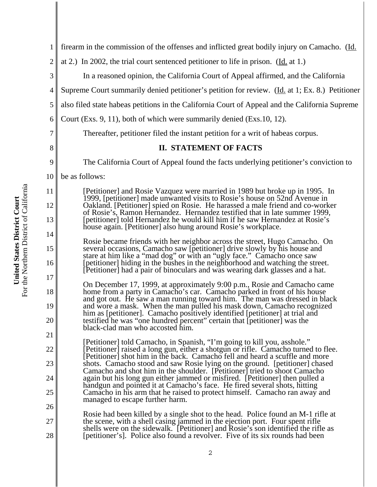| $\mathbf{1}$   | firearm in the commission of the offenses and inflicted great bodily injury on Camacho. (Id.                                                                                                                                                                                                                           |
|----------------|------------------------------------------------------------------------------------------------------------------------------------------------------------------------------------------------------------------------------------------------------------------------------------------------------------------------|
| $\overline{c}$ | at 2.) In 2002, the trial court sentenced petitioner to life in prison. (Id. at 1.)                                                                                                                                                                                                                                    |
| 3              | In a reasoned opinion, the California Court of Appeal affirmed, and the California                                                                                                                                                                                                                                     |
| 4              | Supreme Court summarily denied petitioner's petition for review. (Id. at 1; Ex. 8.) Petitioner                                                                                                                                                                                                                         |
| 5              | also filed state habeas petitions in the California Court of Appeal and the California Supreme                                                                                                                                                                                                                         |
| 6              | Court (Exs. 9, 11), both of which were summarily denied (Exs. 10, 12).                                                                                                                                                                                                                                                 |
| 7              | Thereafter, petitioner filed the instant petition for a writ of habeas corpus.                                                                                                                                                                                                                                         |
| 8              | <b>II. STATEMENT OF FACTS</b>                                                                                                                                                                                                                                                                                          |
| 9              | The California Court of Appeal found the facts underlying petitioner's conviction to                                                                                                                                                                                                                                   |
| 10             | be as follows:                                                                                                                                                                                                                                                                                                         |
| 11             | [Petitioner] and Rosie Vazquez were married in 1989 but broke up in 1995. In<br>1999, [petitioner] made unwanted visits to Rosie's house on 52nd Avenue in                                                                                                                                                             |
| 12             | Oakland. [Petitioner] spied on Rosie. He harassed a male friend and co-worker<br>of Rosie's, Ramon Hernandez. Hernandez testified that in late summer 1999,                                                                                                                                                            |
| 13             | [petitioner] told Hernandez he would kill him if he saw Hernandez at Rosie's<br>house again. [Petitioner] also hung around Rosie's workplace.                                                                                                                                                                          |
| 14             | Rosie became friends with her neighbor across the street, Hugo Camacho. On                                                                                                                                                                                                                                             |
| 15<br>16       | several occasions, Camacho saw [petitioner] drive slowly by his house and<br>stare at him like a "mad dog" or with an "ugly face." Camacho once saw<br>[petitioner] hiding in the bushes in the neighborhood and watching the street.<br>[Petitioner] had a pair of binoculars and was wearing dark glasses and a hat. |
| 17             | On December 17, 1999, at approximately 9:00 p.m., Rosie and Camacho came                                                                                                                                                                                                                                               |
| 18             | home from a party in Camacho's car. Camacho parked in front of his house<br>and got out. He saw a man running toward him. The man was dressed in black                                                                                                                                                                 |
| 19             | and wore a mask. When the man pulled his mask down, Camacho recognized<br>him as [petitioner]. Camacho positively identified [petitioner] at trial and                                                                                                                                                                 |
| 20             | testified he was "one hundred percent" certain that [petitioner] was the<br>black-clad man who accosted him.                                                                                                                                                                                                           |
| 21             | [Petitioner] told Camacho, in Spanish, "I'm going to kill you, asshole."                                                                                                                                                                                                                                               |
| 22             | [Petitioner] raised a long gun, either a shotgun or rifle. Camacho turned to flee.<br>[Petitioner] shot him in the back. Camacho fell and heard a scuffle and more                                                                                                                                                     |
| 23             | shots. Camacho stood and saw Rosie lying on the ground. [petitioner] chased<br>Camacho and shot him in the shoulder. [Petitioner] tried to shoot Camacho                                                                                                                                                               |
| 24             | again but his long gun either jammed or misfired. [Petitioner] then pulled a<br>handgun and pointed it at Camacho's face. He fired several shots, hitting                                                                                                                                                              |
| 25             | Camacho in his arm that he raised to protect himself. Camacho ran away and<br>managed to escape further harm.                                                                                                                                                                                                          |
| 26             | Rosie had been killed by a single shot to the head. Police found an M-1 rifle at                                                                                                                                                                                                                                       |
| 27             | the scene, with a shell casing jammed in the ejection port. Four spent rifle<br>shells were on the sidewalk. [Petitioner] and Rosie's son identified the rifle as                                                                                                                                                      |
| 28             | [petitioner's]. Police also found a revolver. Five of its six rounds had been                                                                                                                                                                                                                                          |
|                |                                                                                                                                                                                                                                                                                                                        |

**United States District Court**<br>For the Northern District of California For the Northern District of California **United States District Court**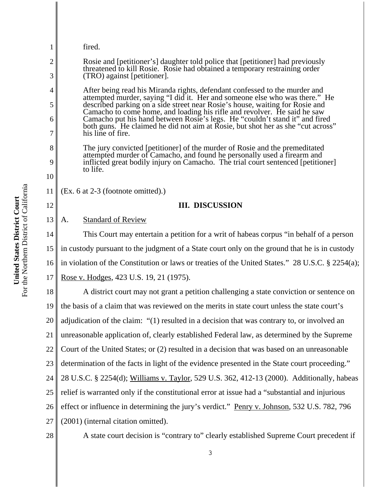| 1                                                                                                              | fired.                                                                                                                                                                                                                               |
|----------------------------------------------------------------------------------------------------------------|--------------------------------------------------------------------------------------------------------------------------------------------------------------------------------------------------------------------------------------|
| 2                                                                                                              | Rosie and [petitioner's] daughter told police that [petitioner] had previously                                                                                                                                                       |
| threatened to kill Rosie. Rosie had obtained a temporary restraining order<br>3<br>(TRO) against [petitioner]. |                                                                                                                                                                                                                                      |
| 4                                                                                                              | After being read his Miranda rights, defendant confessed to the murder and                                                                                                                                                           |
| 5                                                                                                              | attempted murder, saying "I did it. Her and someone else who was there." He described parking on a side street near Rosie's house, waiting for Rosie and<br>Camacho to come home, and loading his rifle and revolver. He said he saw |
| 6                                                                                                              | Camacho put his hand between Rosie's legs. He "couldn't stand it" and fired<br>both guns. He claimed he did not aim at Rosie, but shot her as she "cut across"                                                                       |
| 7                                                                                                              | his line of fire.                                                                                                                                                                                                                    |
| 8                                                                                                              | The jury convicted [petitioner] of the murder of Rosie and the premeditated<br>attempted murder of Camacho, and found he personally used a firearm and                                                                               |
| 9                                                                                                              | inflicted great bodily injury on Camacho. The trial court sentenced [petitioner]<br>to life.                                                                                                                                         |
| 10                                                                                                             |                                                                                                                                                                                                                                      |
| 11                                                                                                             | (Ex. 6 at 2-3 (footnote omitted).)                                                                                                                                                                                                   |
| 12                                                                                                             | <b>III. DISCUSSION</b>                                                                                                                                                                                                               |
| 13                                                                                                             | <b>Standard of Review</b><br>A.                                                                                                                                                                                                      |
| 14                                                                                                             | This Court may entertain a petition for a writ of habeas corpus "in behalf of a person                                                                                                                                               |
| 15                                                                                                             | in custody pursuant to the judgment of a State court only on the ground that he is in custody                                                                                                                                        |
| 16                                                                                                             | in violation of the Constitution or laws or treaties of the United States." 28 U.S.C. § 2254(a);                                                                                                                                     |
| 17                                                                                                             | Rose v. Hodges, 423 U.S. 19, 21 (1975).                                                                                                                                                                                              |
| 18                                                                                                             | A district court may not grant a petition challenging a state conviction or sentence on                                                                                                                                              |
| 19                                                                                                             | the basis of a claim that was reviewed on the merits in state court unless the state court's                                                                                                                                         |
| 20                                                                                                             | adjudication of the claim: "(1) resulted in a decision that was contrary to, or involved an                                                                                                                                          |
| 21                                                                                                             | unreasonable application of, clearly established Federal law, as determined by the Supreme                                                                                                                                           |
| 22                                                                                                             | Court of the United States; or (2) resulted in a decision that was based on an unreasonable                                                                                                                                          |
| 23                                                                                                             | determination of the facts in light of the evidence presented in the State court proceeding."                                                                                                                                        |
| 24                                                                                                             | 28 U.S.C. § 2254(d); Williams v. Taylor, 529 U.S. 362, 412-13 (2000). Additionally, habeas                                                                                                                                           |
| 25                                                                                                             | relief is warranted only if the constitutional error at issue had a "substantial and injurious                                                                                                                                       |
| 26                                                                                                             | effect or influence in determining the jury's verdict." Penry v. Johnson, 532 U.S. 782, 796                                                                                                                                          |
| 27                                                                                                             | (2001) (internal citation omitted).                                                                                                                                                                                                  |
| 28                                                                                                             | A state court decision is "contrary to" clearly established Supreme Court precedent if                                                                                                                                               |

**United States District Court**<br>For the Northern District of California For the Northern District of California **United States District Court**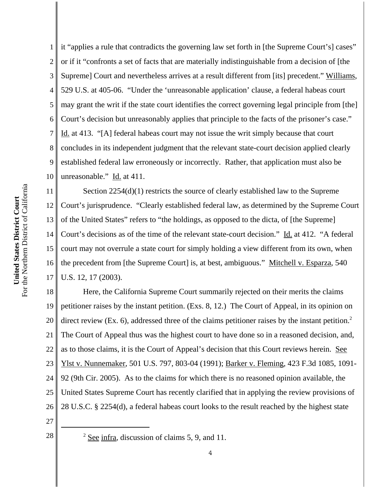1 2 3 4 5 6 7 8 9 10 it "applies a rule that contradicts the governing law set forth in [the Supreme Court's] cases" or if it "confronts a set of facts that are materially indistinguishable from a decision of [the Supreme] Court and nevertheless arrives at a result different from [its] precedent." Williams, 529 U.S. at 405-06. "Under the 'unreasonable application' clause, a federal habeas court may grant the writ if the state court identifies the correct governing legal principle from [the] Court's decision but unreasonably applies that principle to the facts of the prisoner's case." Id. at 413. "[A] federal habeas court may not issue the writ simply because that court concludes in its independent judgment that the relevant state-court decision applied clearly established federal law erroneously or incorrectly. Rather, that application must also be unreasonable." Id. at 411.

11 12 13 14 15 16 17 Section 2254(d)(1) restricts the source of clearly established law to the Supreme Court's jurisprudence. "Clearly established federal law, as determined by the Supreme Court of the United States" refers to "the holdings, as opposed to the dicta, of [the Supreme] Court's decisions as of the time of the relevant state-court decision." Id. at 412. "A federal court may not overrule a state court for simply holding a view different from its own, when the precedent from [the Supreme Court] is, at best, ambiguous." Mitchell v. Esparza, 540 U.S. 12, 17 (2003).

18 19 20 21 22 23 24 25 26 Here, the California Supreme Court summarily rejected on their merits the claims petitioner raises by the instant petition. (Exs. 8, 12.) The Court of Appeal, in its opinion on direct review (Ex. 6), addressed three of the claims petitioner raises by the instant petition.<sup>2</sup> The Court of Appeal thus was the highest court to have done so in a reasoned decision, and, as to those claims, it is the Court of Appeal's decision that this Court reviews herein. See Ylst v. Nunnemaker, 501 U.S. 797, 803-04 (1991); Barker v. Fleming, 423 F.3d 1085, 1091- 92 (9th Cir. 2005). As to the claims for which there is no reasoned opinion available, the United States Supreme Court has recently clarified that in applying the review provisions of 28 U.S.C. § 2254(d), a federal habeas court looks to the result reached by the highest state

- 27
- 28 <sup>2</sup>

 $2$  See infra, discussion of claims 5, 9, and 11.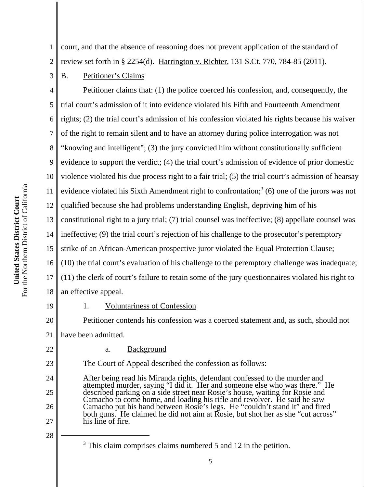5 6 7 8 9 10 For the Northern District of California For the Northern District of California 11 United States District Court **United States District Court** 12

3

1 2 court, and that the absence of reasoning does not prevent application of the standard of review set forth in § 2254(d). Harrington v. Richter, 131 S.Ct. 770, 784-85 (2011).

B. Petitioner's Claims

4 13 14 15 16 17 18 Petitioner claims that: (1) the police coerced his confession, and, consequently, the trial court's admission of it into evidence violated his Fifth and Fourteenth Amendment rights; (2) the trial court's admission of his confession violated his rights because his waiver of the right to remain silent and to have an attorney during police interrogation was not "knowing and intelligent"; (3) the jury convicted him without constitutionally sufficient evidence to support the verdict; (4) the trial court's admission of evidence of prior domestic violence violated his due process right to a fair trial; (5) the trial court's admission of hearsay evidence violated his Sixth Amendment right to confrontation;<sup>3</sup> (6) one of the jurors was not qualified because she had problems understanding English, depriving him of his constitutional right to a jury trial; (7) trial counsel was ineffective; (8) appellate counsel was ineffective; (9) the trial court's rejection of his challenge to the prosecutor's peremptory strike of an African-American prospective juror violated the Equal Protection Clause; (10) the trial court's evaluation of his challenge to the peremptory challenge was inadequate; (11) the clerk of court's failure to retain some of the jury questionnaires violated his right to an effective appeal.

19

20

22

23

24

25

26

27

## 1. Voluntariness of Confession

Petitioner contends his confession was a coerced statement and, as such, should not

21 have been admitted.

a. Background

The Court of Appeal described the confession as follows:

After being read his Miranda rights, defendant confessed to the murder and attempted murder, saying "I did it. Her and someone else who was there." He described parking on a side street near Rosie's house, waiting for Rosie and Camacho to come home, and loading his rifle and revolver. He said he saw Camacho put his hand between Rosie's legs. He "couldn't stand it" and fired both guns. He claimed he did not aim at Rosie, but shot her as she "cut across" his line of fire.

<sup>3</sup> This claim comprises claims numbered 5 and 12 in the petition.

<sup>28</sup>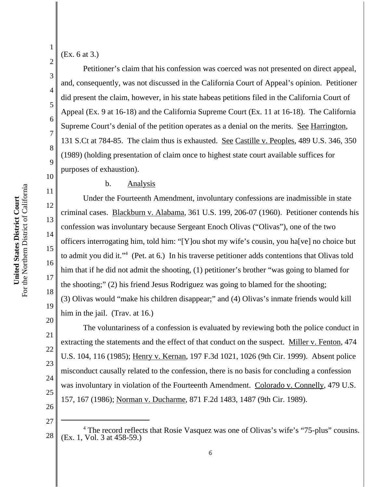For the Northern District of California For the Northern District of California United States District Court **United States District Court**

# (Ex. 6 at 3.)

1

2

3

4

5

6

7

8

9

10

11

12

13

14

15

16

17

18

19

20

Petitioner's claim that his confession was coerced was not presented on direct appeal, and, consequently, was not discussed in the California Court of Appeal's opinion. Petitioner did present the claim, however, in his state habeas petitions filed in the California Court of Appeal (Ex. 9 at 16-18) and the California Supreme Court (Ex. 11 at 16-18). The California Supreme Court's denial of the petition operates as a denial on the merits. See Harrington, 131 S.Ct at 784-85. The claim thus is exhausted. See Castille v. Peoples, 489 U.S. 346, 350 (1989) (holding presentation of claim once to highest state court available suffices for purposes of exhaustion).

## b. Analysis

Under the Fourteenth Amendment, involuntary confessions are inadmissible in state criminal cases. Blackburn v. Alabama, 361 U.S. 199, 206-07 (1960). Petitioner contends his confession was involuntary because Sergeant Enoch Olivas ("Olivas"), one of the two officers interrogating him, told him: "[Y]ou shot my wife's cousin, you ha[ve] no choice but to admit you did it."<sup>4</sup> (Pet. at 6.) In his traverse petitioner adds contentions that Olivas told him that if he did not admit the shooting, (1) petitioner's brother "was going to blamed for the shooting;" (2) his friend Jesus Rodriguez was going to blamed for the shooting; (3) Olivas would "make his children disappear;" and (4) Olivas's inmate friends would kill him in the jail. (Trav. at 16.)

21 22 23 24 25 26 The voluntariness of a confession is evaluated by reviewing both the police conduct in extracting the statements and the effect of that conduct on the suspect. Miller v. Fenton, 474 U.S. 104, 116 (1985); Henry v. Kernan, 197 F.3d 1021, 1026 (9th Cir. 1999). Absent police misconduct causally related to the confession, there is no basis for concluding a confession was involuntary in violation of the Fourteenth Amendment. Colorado v. Connelly, 479 U.S. 157, 167 (1986); Norman v. Ducharme, 871 F.2d 1483, 1487 (9th Cir. 1989).

<sup>28</sup> <sup>4</sup> The record reflects that Rosie Vasquez was one of Olivas's wife's "75-plus" cousins. (Ex. 1, Vol. 3 at 458-59.)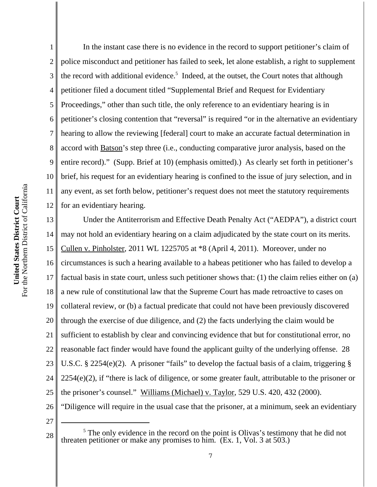4 5 6 7 8 9 10 For the Northern District of California For the Northern District of California 11 United States District Court **United States District Court** 12 13 14 15 16

1

2 3 In the instant case there is no evidence in the record to support petitioner's claim of police misconduct and petitioner has failed to seek, let alone establish, a right to supplement the record with additional evidence.<sup>5</sup> Indeed, at the outset, the Court notes that although petitioner filed a document titled "Supplemental Brief and Request for Evidentiary Proceedings," other than such title, the only reference to an evidentiary hearing is in petitioner's closing contention that "reversal" is required "or in the alternative an evidentiary hearing to allow the reviewing [federal] court to make an accurate factual determination in accord with Batson's step three (i.e., conducting comparative juror analysis, based on the entire record)." (Supp. Brief at 10) (emphasis omitted).) As clearly set forth in petitioner's brief, his request for an evidentiary hearing is confined to the issue of jury selection, and in any event, as set forth below, petitioner's request does not meet the statutory requirements for an evidentiary hearing.

17 18 19 20 21 22 23 24 25 26 Under the Antiterrorism and Effective Death Penalty Act ("AEDPA"), a district court may not hold an evidentiary hearing on a claim adjudicated by the state court on its merits. Cullen v. Pinholster, 2011 WL 1225705 at \*8 (April 4, 2011). Moreover, under no circumstances is such a hearing available to a habeas petitioner who has failed to develop a factual basis in state court, unless such petitioner shows that: (1) the claim relies either on (a) a new rule of constitutional law that the Supreme Court has made retroactive to cases on collateral review, or (b) a factual predicate that could not have been previously discovered through the exercise of due diligence, and (2) the facts underlying the claim would be sufficient to establish by clear and convincing evidence that but for constitutional error, no reasonable fact finder would have found the applicant guilty of the underlying offense. 28 U.S.C. § 2254(e)(2). A prisoner "fails" to develop the factual basis of a claim, triggering § 2254(e)(2), if "there is lack of diligence, or some greater fault, attributable to the prisoner or the prisoner's counsel." Williams (Michael) v. Taylor, 529 U.S. 420, 432 (2000). "Diligence will require in the usual case that the prisoner, at a minimum, seek an evidentiary

27

<sup>28</sup> <sup>5</sup> The only evidence in the record on the point is Olivas's testimony that he did not threaten petitioner or make any promises to him. (Ex. 1, Vol. 3 at 503.)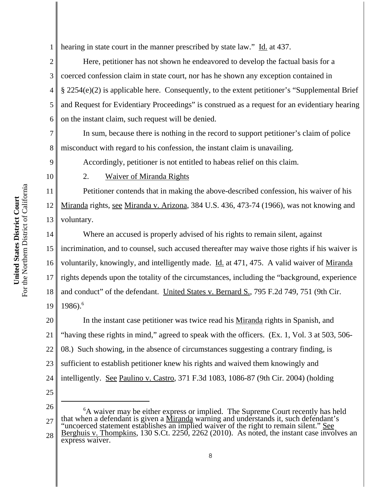1 hearing in state court in the manner prescribed by state law." Id. at 437.

2 3 4 5 6 Here, petitioner has not shown he endeavored to develop the factual basis for a coerced confession claim in state court, nor has he shown any exception contained in § 2254(e)(2) is applicable here. Consequently, to the extent petitioner's "Supplemental Brief and Request for Evidentiary Proceedings" is construed as a request for an evidentiary hearing on the instant claim, such request will be denied.

 In sum, because there is nothing in the record to support petitioner's claim of police misconduct with regard to his confession, the instant claim is unavailing.

Accordingly, petitioner is not entitled to habeas relief on this claim.

10

11

12

13

7

8

9

2. Waiver of Miranda Rights

Petitioner contends that in making the above-described confession, his waiver of his Miranda rights, see Miranda v. Arizona, 384 U.S. 436, 473-74 (1966), was not knowing and voluntary.

14 15 16 17 18 19 Where an accused is properly advised of his rights to remain silent, against incrimination, and to counsel, such accused thereafter may waive those rights if his waiver is voluntarily, knowingly, and intelligently made. Id. at 471, 475. A valid waiver of Miranda rights depends upon the totality of the circumstances, including the "background, experience and conduct" of the defendant. United States v. Bernard S., 795 F.2d 749, 751 (9th Cir. 1986).6

20 21 22 23 24 25 In the instant case petitioner was twice read his Miranda rights in Spanish, and "having these rights in mind," agreed to speak with the officers. (Ex. 1, Vol. 3 at 503, 506- 08.) Such showing, in the absence of circumstances suggesting a contrary finding, is sufficient to establish petitioner knew his rights and waived them knowingly and intelligently. See Paulino v. Castro, 371 F.3d 1083, 1086-87 (9th Cir. 2004) (holding

26

27 28 <sup>6</sup>A waiver may be either express or implied. The Supreme Court recently has held that when a defendant is given a Miranda warning and understands it, such defendant's "uncoerced statement establishes an implied waiver of the right to remain silent." See Berghuis v. Thompkins, 130 S.Ct. 2250, 2262 (2010). As noted, the instant case involves an express waiver.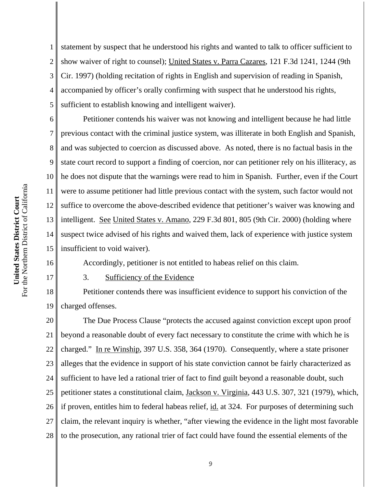1 2 3 4 5 statement by suspect that he understood his rights and wanted to talk to officer sufficient to show waiver of right to counsel); United States v. Parra Cazares, 121 F.3d 1241, 1244 (9th Cir. 1997) (holding recitation of rights in English and supervision of reading in Spanish, accompanied by officer's orally confirming with suspect that he understood his rights, sufficient to establish knowing and intelligent waiver).

6 7 8 9 10 11 12 13 14 15 Petitioner contends his waiver was not knowing and intelligent because he had little previous contact with the criminal justice system, was illiterate in both English and Spanish, and was subjected to coercion as discussed above. As noted, there is no factual basis in the state court record to support a finding of coercion, nor can petitioner rely on his illiteracy, as he does not dispute that the warnings were read to him in Spanish. Further, even if the Court were to assume petitioner had little previous contact with the system, such factor would not suffice to overcome the above-described evidence that petitioner's waiver was knowing and intelligent. See United States v. Amano, 229 F.3d 801, 805 (9th Cir. 2000) (holding where suspect twice advised of his rights and waived them, lack of experience with justice system insufficient to void waiver).

16 17

3. Sufficiency of the Evidence

18 19 Petitioner contends there was insufficient evidence to support his conviction of the charged offenses.

Accordingly, petitioner is not entitled to habeas relief on this claim.

20 21 22 23 24 25 26 27 28 The Due Process Clause "protects the accused against conviction except upon proof beyond a reasonable doubt of every fact necessary to constitute the crime with which he is charged." In re Winship, 397 U.S. 358, 364 (1970). Consequently, where a state prisoner alleges that the evidence in support of his state conviction cannot be fairly characterized as sufficient to have led a rational trier of fact to find guilt beyond a reasonable doubt, such petitioner states a constitutional claim, Jackson v. Virginia, 443 U.S. 307, 321 (1979), which, if proven, entitles him to federal habeas relief, id. at 324. For purposes of determining such claim, the relevant inquiry is whether, "after viewing the evidence in the light most favorable to the prosecution, any rational trier of fact could have found the essential elements of the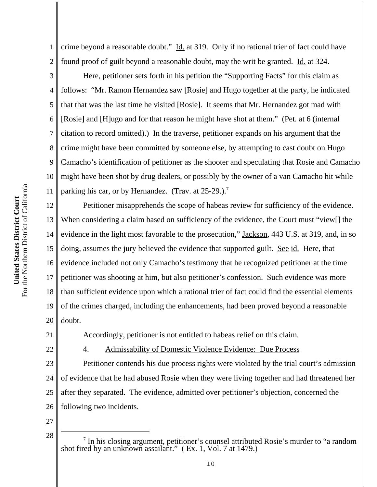1 2 crime beyond a reasonable doubt." Id. at 319. Only if no rational trier of fact could have found proof of guilt beyond a reasonable doubt, may the writ be granted. Id. at 324.

3 4 5 6 7 8 9 10 11 Here, petitioner sets forth in his petition the "Supporting Facts" for this claim as follows: "Mr. Ramon Hernandez saw [Rosie] and Hugo together at the party, he indicated that that was the last time he visited [Rosie]. It seems that Mr. Hernandez got mad with [Rosie] and [H]ugo and for that reason he might have shot at them." (Pet. at 6 (internal citation to record omitted).) In the traverse, petitioner expands on his argument that the crime might have been committed by someone else, by attempting to cast doubt on Hugo Camacho's identification of petitioner as the shooter and speculating that Rosie and Camacho might have been shot by drug dealers, or possibly by the owner of a van Camacho hit while parking his car, or by Hernandez. (Trav. at  $25-29$ .).<sup>7</sup>

12 13 14 15 16 17 18 19 20 Petitioner misapprehends the scope of habeas review for sufficiency of the evidence. When considering a claim based on sufficiency of the evidence, the Court must "view[] the evidence in the light most favorable to the prosecution," Jackson, 443 U.S. at 319, and, in so doing, assumes the jury believed the evidence that supported guilt. See id. Here, that evidence included not only Camacho's testimony that he recognized petitioner at the time petitioner was shooting at him, but also petitioner's confession. Such evidence was more than sufficient evidence upon which a rational trier of fact could find the essential elements of the crimes charged, including the enhancements, had been proved beyond a reasonable doubt.

21

- Accordingly, petitioner is not entitled to habeas relief on this claim.
- 22

4. Admissability of Domestic Violence Evidence: Due Process

23 24 25 26 Petitioner contends his due process rights were violated by the trial court's admission of evidence that he had abused Rosie when they were living together and had threatened her after they separated. The evidence, admitted over petitioner's objection, concerned the following two incidents.

27

<sup>&</sup>lt;sup>28</sup>  $\parallel$  <sup>7</sup> In his closing argument, petitioner's counsel attributed Rosie's murder to "a random shot fired by an unknown assailant." ( Ex. 1, Vol. 7 at 1479.)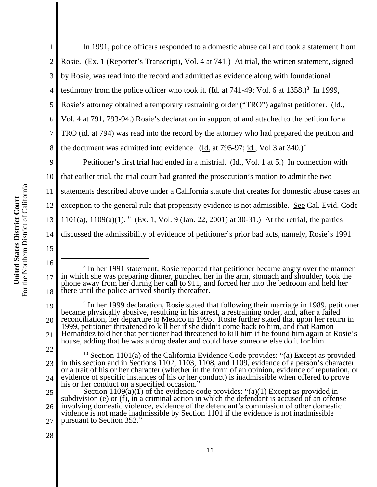1 2 3 4 5 6 7 In 1991, police officers responded to a domestic abuse call and took a statement from Rosie. (Ex. 1 (Reporter's Transcript), Vol. 4 at 741.) At trial, the written statement, signed by Rosie, was read into the record and admitted as evidence along with foundational testimony from the police officer who took it.  $(\underline{Id.}$  at 741-49; Vol. 6 at 1358.)<sup>8</sup> In 1999, Rosie's attorney obtained a temporary restraining order ("TRO") against petitioner. (Id., Vol. 4 at 791, 793-94.) Rosie's declaration in support of and attached to the petition for a TRO (id. at 794) was read into the record by the attorney who had prepared the petition and

the document was admitted into evidence. (Id. at 795-97; id., Vol 3 at  $340.$ )<sup>9</sup>

9 10 11 12 13 14 Petitioner's first trial had ended in a mistrial. (Id., Vol. 1 at 5.) In connection with that earlier trial, the trial court had granted the prosecution's motion to admit the two statements described above under a California statute that creates for domestic abuse cases an exception to the general rule that propensity evidence is not admissible. See Cal. Evid. Code 1101(a), 1109(a)(1).<sup>10</sup> (Ex. 1, Vol. 9 (Jan. 22, 2001) at 30-31.) At the retrial, the parties discussed the admissibility of evidence of petitioner's prior bad acts, namely, Rosie's 1991

16

15

8

22

<sup>17</sup> 18 <sup>8</sup> In her 1991 statement, Rosie reported that petitioner became angry over the manner in which she was preparing dinner, punched her in the arm, stomach and shoulder, took the phone away from her during her call to 911, and forced her into the bedroom and held her there until the police arrived shortly thereafter.

<sup>19</sup> 20 21 <sup>9</sup> In her 1999 declaration, Rosie stated that following their marriage in 1989, petitioner became physically abusive, resulting in his arrest, a restraining order, and, after a failed reconciliation, her departure to Mexico in 1995. Rosie further stated that upon her return in 1999, petitioner threatened to kill her if she didn't come back to him, and that Ramon Hernandez told her that petitioner had threatened to kill him if he found him again at Rosie's house, adding that he was a drug dealer and could have someone else do it for him.

<sup>23</sup> 24 <sup>10</sup> Section 1101(a) of the California Evidence Code provides: "(a) Except as provided in this section and in Sections 1102, 1103, 1108, and 1109, evidence of a person's character or a trait of his or her character (whether in the form of an opinion, evidence of reputation, or evidence of specific instances of his or her conduct) is inadmissible when offered to prove his or her conduct on a specified occasion."

<sup>25</sup> 26 27 Section 1109(a)(1) of the evidence code provides: "(a)(1) Except as provided in subdivision (e) or (f), in a criminal action in which the defendant is accused of an offense involving domestic violence, evidence of the defendant's commission of other domestic violence is not made inadmissible by Section 1101 if the evidence is not inadmissible pursuant to Section 352."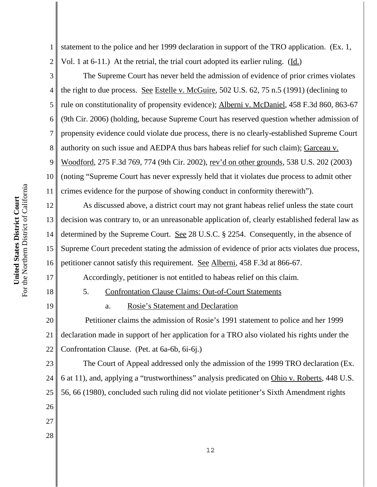1 2 statement to the police and her 1999 declaration in support of the TRO application. (Ex. 1, Vol. 1 at 6-11.) At the retrial, the trial court adopted its earlier ruling. (Id.)

3 4 5 6 7 8 9 10 11 The Supreme Court has never held the admission of evidence of prior crimes violates the right to due process. See Estelle v. McGuire, 502 U.S. 62, 75 n.5 (1991) (declining to rule on constitutionality of propensity evidence); Alberni v. McDaniel, 458 F.3d 860, 863-67 (9th Cir. 2006) (holding, because Supreme Court has reserved question whether admission of propensity evidence could violate due process, there is no clearly-established Supreme Court authority on such issue and AEDPA thus bars habeas relief for such claim); Garceau v. Woodford, 275 F.3d 769, 774 (9th Cir. 2002), rev'd on other grounds, 538 U.S. 202 (2003) (noting "Supreme Court has never expressly held that it violates due process to admit other crimes evidence for the purpose of showing conduct in conformity therewith").

12 13 14 15 16 As discussed above, a district court may not grant habeas relief unless the state court decision was contrary to, or an unreasonable application of, clearly established federal law as determined by the Supreme Court. See 28 U.S.C. § 2254. Consequently, in the absence of Supreme Court precedent stating the admission of evidence of prior acts violates due process, petitioner cannot satisfy this requirement. See Alberni, 458 F.3d at 866-67.

Accordingly, petitioner is not entitled to habeas relief on this claim.

18

17

19

26

27

28

5. Confrontation Clause Claims: Out-of-Court Statements

a. Rosie's Statement and Declaration

20 21 22 Petitioner claims the admission of Rosie's 1991 statement to police and her 1999 declaration made in support of her application for a TRO also violated his rights under the Confrontation Clause. (Pet. at 6a-6b, 6i-6j.)

23 24 25 The Court of Appeal addressed only the admission of the 1999 TRO declaration (Ex. 6 at 11), and, applying a "trustworthiness" analysis predicated on Ohio v. Roberts, 448 U.S. 56, 66 (1980), concluded such ruling did not violate petitioner's Sixth Amendment rights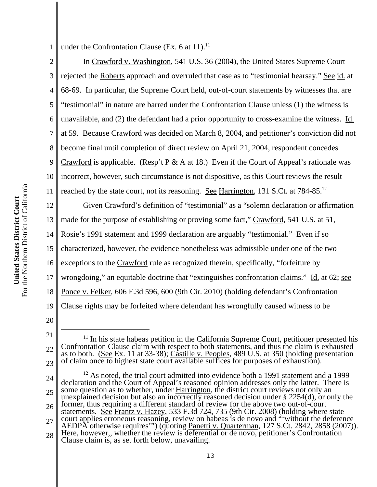1 under the Confrontation Clause (Ex. 6 at 11).<sup>11</sup>

2 3 4 5 6 7 8 9 10 11 In Crawford v. Washington, 541 U.S. 36 (2004), the United States Supreme Court rejected the Roberts approach and overruled that case as to "testimonial hearsay." See id. at 68-69. In particular, the Supreme Court held, out-of-court statements by witnesses that are "testimonial" in nature are barred under the Confrontation Clause unless (1) the witness is unavailable, and (2) the defendant had a prior opportunity to cross-examine the witness. Id. at 59. Because Crawford was decided on March 8, 2004, and petitioner's conviction did not become final until completion of direct review on April 21, 2004, respondent concedes Crawford is applicable. (Resp't P & A at 18.) Even if the Court of Appeal's rationale was incorrect, however, such circumstance is not dispositive, as this Court reviews the result reached by the state court, not its reasoning. See Harrington, 131 S.Ct. at 784-85.<sup>12</sup>

12 13 14 15 16 17 18 19 Given Crawford's definition of "testimonial" as a "solemn declaration or affirmation made for the purpose of establishing or proving some fact," Crawford, 541 U.S. at 51, Rosie's 1991 statement and 1999 declaration are arguably "testimonial." Even if so characterized, however, the evidence nonetheless was admissible under one of the two exceptions to the Crawford rule as recognized therein, specifically, "forfeiture by wrongdoing," an equitable doctrine that "extinguishes confrontation claims." Id. at 62; see Ponce v. Felker, 606 F.3d 596, 600 (9th Cir. 2010) (holding defendant's Confrontation Clause rights may be forfeited where defendant has wrongfully caused witness to be

24 25 26 27 28  $12$  As noted, the trial court admitted into evidence both a 1991 statement and a 1999 declaration and the Court of Appeal's reasoned opinion addresses only the latter. There is some question as to whether, under **Harrington**, the district court reviews not only an unexplained decision but also an incorrectly reasoned decision under  $\S 2254(d)$ , or only the former, thus requiring a different standard of review for the above two out-of-court statements. See Frantz v. Hazey, 533 F.3d 724, 735 (9th Cir. 2008) (holding where state court applies erroneous reasoning, review on habeas is de novo and "without the deference" AEDPA otherwise requires'") (quoting Panetti v. Quarterman, 127 S.Ct. 2842, 2858 (2007)). Here, however,, whether the review is deferential or de novo, petitioner's Confrontation Clause claim is, as set forth below, unavailing.

<sup>20</sup>

<sup>21</sup> 22 23  $11$  In his state habeas petition in the California Supreme Court, petitioner presented his Confrontation Clause claim with respect to both statements, and thus the claim is exhausted as to both. (See Ex. 11 at 33-38); Castille v. Peoples, 489 U.S. at 350 (holding presentation of claim once to highest state court available suffices for purposes of exhaustion).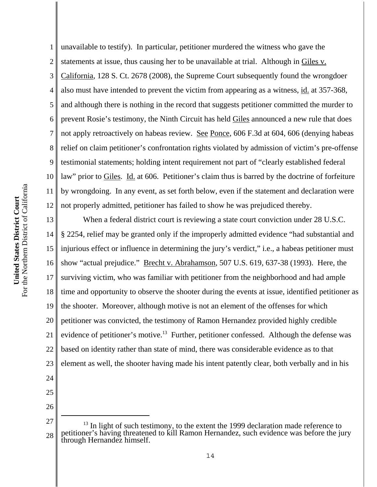1 2 3 4 5 6 7 8 9 10 11 12 unavailable to testify). In particular, petitioner murdered the witness who gave the statements at issue, thus causing her to be unavailable at trial. Although in Giles v. California, 128 S. Ct. 2678 (2008), the Supreme Court subsequently found the wrongdoer also must have intended to prevent the victim from appearing as a witness, id. at 357-368, and although there is nothing in the record that suggests petitioner committed the murder to prevent Rosie's testimony, the Ninth Circuit has held Giles announced a new rule that does not apply retroactively on habeas review. See Ponce, 606 F.3d at 604, 606 (denying habeas relief on claim petitioner's confrontation rights violated by admission of victim's pre-offense testimonial statements; holding intent requirement not part of "clearly established federal law" prior to Giles. Id. at 606. Petitioner's claim thus is barred by the doctrine of forfeiture by wrongdoing. In any event, as set forth below, even if the statement and declaration were not properly admitted, petitioner has failed to show he was prejudiced thereby.

13 14 15 16 17 18 19 20 21 22 23 24 When a federal district court is reviewing a state court conviction under 28 U.S.C. § 2254, relief may be granted only if the improperly admitted evidence "had substantial and injurious effect or influence in determining the jury's verdict," i.e., a habeas petitioner must show "actual prejudice." Brecht v. Abrahamson, 507 U.S. 619, 637-38 (1993). Here, the surviving victim, who was familiar with petitioner from the neighborhood and had ample time and opportunity to observe the shooter during the events at issue, identified petitioner as the shooter. Moreover, although motive is not an element of the offenses for which petitioner was convicted, the testimony of Ramon Hernandez provided highly credible evidence of petitioner's motive.<sup>13</sup> Further, petitioner confessed. Although the defense was based on identity rather than state of mind, there was considerable evidence as to that element as well, the shooter having made his intent patently clear, both verbally and in his

- 25
- 26

<sup>27</sup> 28  $13$  In light of such testimony, to the extent the 1999 declaration made reference to petitioner's having threatened to kill Ramon Hernandez, such evidence was before the jury through Hernandez himself.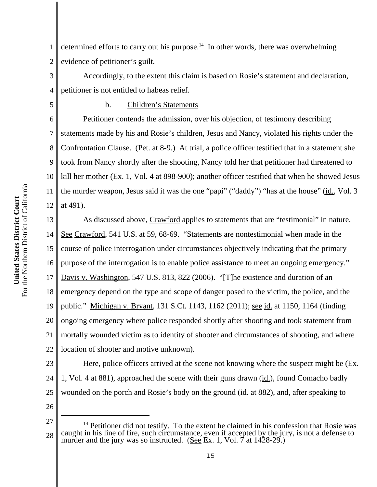1 2 determined efforts to carry out his purpose.<sup>14</sup> In other words, there was overwhelming evidence of petitioner's guilt.

3 4 Accordingly, to the extent this claim is based on Rosie's statement and declaration, petitioner is not entitled to habeas relief.

5

# b. Children's Statements

6 7 8 9 10 11 12 Petitioner contends the admission, over his objection, of testimony describing statements made by his and Rosie's children, Jesus and Nancy, violated his rights under the Confrontation Clause. (Pet. at 8-9.) At trial, a police officer testified that in a statement she took from Nancy shortly after the shooting, Nancy told her that petitioner had threatened to kill her mother (Ex. 1, Vol. 4 at 898-900); another officer testified that when he showed Jesus the murder weapon, Jesus said it was the one "papi" ("daddy") "has at the house" (id., Vol. 3 at 491).

13 14 15 16 17 18 19 20 21 22 As discussed above, Crawford applies to statements that are "testimonial" in nature. See Crawford, 541 U.S. at 59, 68-69. "Statements are nontestimonial when made in the course of police interrogation under circumstances objectively indicating that the primary purpose of the interrogation is to enable police assistance to meet an ongoing emergency." Davis v. Washington, 547 U.S. 813, 822 (2006). "[T]he existence and duration of an emergency depend on the type and scope of danger posed to the victim, the police, and the public." Michigan v. Bryant, 131 S.Ct. 1143, 1162 (2011); see id. at 1150, 1164 (finding ongoing emergency where police responded shortly after shooting and took statement from mortally wounded victim as to identity of shooter and circumstances of shooting, and where location of shooter and motive unknown).

23 24 25 Here, police officers arrived at the scene not knowing where the suspect might be (Ex. 1, Vol. 4 at 881), approached the scene with their guns drawn (id.), found Comacho badly wounded on the porch and Rosie's body on the ground (id. at 882), and, after speaking to

<sup>27</sup> 28  $14$  Petitioner did not testify. To the extent he claimed in his confession that Rosie was caught in his line of fire, such circumstance, even if accepted by the jury, is not a defense to murder and the jury was so instructed. (See Ex. 1, Vol. 7 at  $1428-29$ .)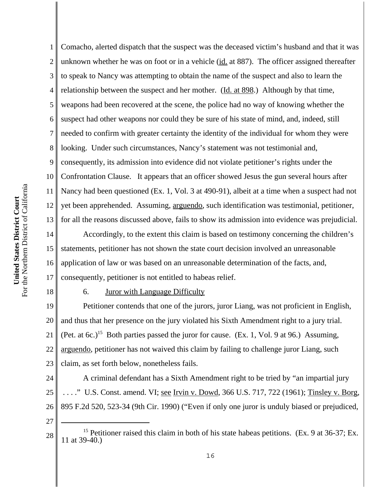1

2

3

4

Comacho, alerted dispatch that the suspect was the deceased victim's husband and that it was unknown whether he was on foot or in a vehicle (id. at 887). The officer assigned thereafter to speak to Nancy was attempting to obtain the name of the suspect and also to learn the relationship between the suspect and her mother. (Id. at 898.) Although by that time, weapons had been recovered at the scene, the police had no way of knowing whether the suspect had other weapons nor could they be sure of his state of mind, and, indeed, still needed to confirm with greater certainty the identity of the individual for whom they were looking. Under such circumstances, Nancy's statement was not testimonial and, consequently, its admission into evidence did not violate petitioner's rights under the Confrontation Clause. It appears that an officer showed Jesus the gun several hours after Nancy had been questioned (Ex. 1, Vol. 3 at 490-91), albeit at a time when a suspect had not yet been apprehended. Assuming, arguendo, such identification was testimonial, petitioner, for all the reasons discussed above, fails to show its admission into evidence was prejudicial. Accordingly, to the extent this claim is based on testimony concerning the children's

statements, petitioner has not shown the state court decision involved an unreasonable application of law or was based on an unreasonable determination of the facts, and, consequently, petitioner is not entitled to habeas relief.

6. Juror with Language Difficulty

19 20 21 22 23 Petitioner contends that one of the jurors, juror Liang, was not proficient in English, and thus that her presence on the jury violated his Sixth Amendment right to a jury trial. (Pet. at 6c.)<sup>15</sup> Both parties passed the juror for cause. (Ex. 1, Vol. 9 at 96.) Assuming, arguendo, petitioner has not waived this claim by failing to challenge juror Liang, such claim, as set forth below, nonetheless fails.

24 25 26 A criminal defendant has a Sixth Amendment right to be tried by "an impartial jury ...." U.S. Const. amend. VI; <u>see Irvin v. Dowd,</u> 366 U.S. 717, 722 (1961); Tinsley v. Borg, 895 F.2d 520, 523-34 (9th Cir. 1990) ("Even if only one juror is unduly biased or prejudiced,

27

<sup>28</sup> <sup>15</sup> Petitioner raised this claim in both of his state habeas petitions. (Ex. 9 at 36-37; Ex. 11 at 39-40.)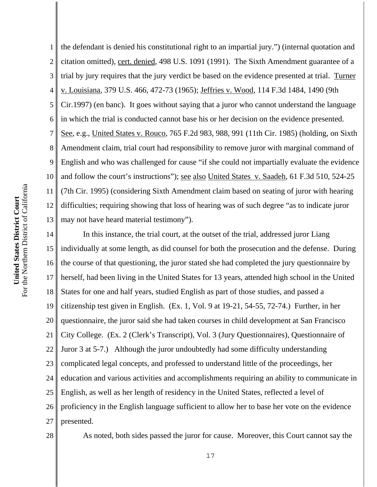citation omitted), cert. denied, 498 U.S. 1091 (1991). The Sixth Amendment guarantee of a 2 3 trial by jury requires that the jury verdict be based on the evidence presented at trial. Turner v. Louisiana, 379 U.S. 466, 472-73 (1965); Jeffries v. Wood, 114 F.3d 1484, 1490 (9th 4 5 Cir.1997) (en banc). It goes without saying that a juror who cannot understand the language in which the trial is conducted cannot base his or her decision on the evidence presented. 6 7 See, e.g., United States v. Rouco, 765 F.2d 983, 988, 991 (11th Cir. 1985) (holding, on Sixth Amendment claim, trial court had responsibility to remove juror with marginal command of 8 9 English and who was challenged for cause "if she could not impartially evaluate the evidence 10 and follow the court's instructions"); see also United States v. Saadeh, 61 F.3d 510, 524-25 For the Northern District of California For the Northern District of California 11 (7th Cir. 1995) (considering Sixth Amendment claim based on seating of juror with hearing United States District Court **United States District Court** difficulties; requiring showing that loss of hearing was of such degree "as to indicate juror 12 13 may not have heard material testimony"). In this instance, the trial court, at the outset of the trial, addressed juror Liang 14 15

16 17 18 19 20 21 22 23 24 25 26 27 individually at some length, as did counsel for both the prosecution and the defense. During the course of that questioning, the juror stated she had completed the jury questionnaire by herself, had been living in the United States for 13 years, attended high school in the United States for one and half years, studied English as part of those studies, and passed a citizenship test given in English. (Ex. 1, Vol. 9 at 19-21, 54-55, 72-74.) Further, in her questionnaire, the juror said she had taken courses in child development at San Francisco City College. (Ex. 2 (Clerk's Transcript), Vol. 3 (Jury Questionnaires), Questionnaire of Juror 3 at 5-7.) Although the juror undoubtedly had some difficulty understanding complicated legal concepts, and professed to understand little of the proceedings, her education and various activities and accomplishments requiring an ability to communicate in English, as well as her length of residency in the United States, reflected a level of proficiency in the English language sufficient to allow her to base her vote on the evidence presented.

the defendant is denied his constitutional right to an impartial jury.") (internal quotation and

28

1

As noted, both sides passed the juror for cause. Moreover, this Court cannot say the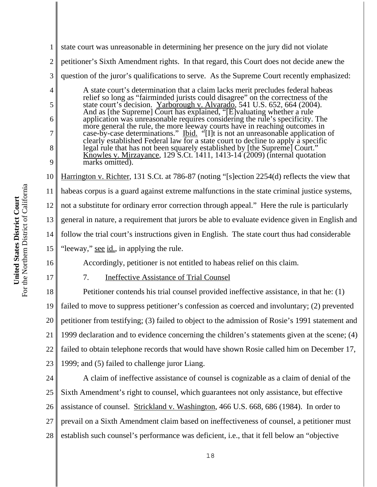| 1              | state court was unreasonable in determining her presence on the jury did not violate                                                                                                                                                 |
|----------------|--------------------------------------------------------------------------------------------------------------------------------------------------------------------------------------------------------------------------------------|
| $\overline{c}$ | petitioner's Sixth Amendment rights. In that regard, this Court does not decide anew the                                                                                                                                             |
| 3              | question of the juror's qualifications to serve. As the Supreme Court recently emphasized:                                                                                                                                           |
| $\overline{4}$ | A state court's determination that a claim lacks merit precludes federal habeas                                                                                                                                                      |
| 5              | A state court's determination that a claim facts field precides federal habeas<br>relief so long as "fairminded jurists could disagree" on the correctness of the<br>state court's decision. Yarborough v. Alvarado, 541 U.S. 652, 6 |
| 6              |                                                                                                                                                                                                                                      |
| 7              | clearly established Federal law for a state court to decline to apply a specific                                                                                                                                                     |
| 8              | legal rule that has not been squarely established by [the Supreme] Court."<br>Knowles v. Mirzayance, 129 S.Ct. 1411, 1413-14 (2009) (internal quotation                                                                              |
| 9              | marks omitted).                                                                                                                                                                                                                      |
| 10             | Harrington v. Richter, 131 S.Ct. at 786-87 (noting "[s]ection 2254(d) reflects the view that                                                                                                                                         |
| 11             | habeas corpus is a guard against extreme malfunctions in the state criminal justice systems,                                                                                                                                         |
| 12             | not a substitute for ordinary error correction through appeal." Here the rule is particularly                                                                                                                                        |
| 13             | general in nature, a requirement that jurors be able to evaluate evidence given in English and                                                                                                                                       |
| 14             | follow the trial court's instructions given in English. The state court thus had considerable                                                                                                                                        |
| 15             | "leeway," <u>see id.,</u> in applying the rule.                                                                                                                                                                                      |
| 16             | Accordingly, petitioner is not entitled to habeas relief on this claim.                                                                                                                                                              |
| 17             | <b>Ineffective Assistance of Trial Counsel</b><br>7.                                                                                                                                                                                 |
| 18             | Petitioner contends his trial counsel provided ineffective assistance, in that he: (1)                                                                                                                                               |
| 19             | failed to move to suppress petitioner's confession as coerced and involuntary; (2) prevented                                                                                                                                         |
| 20             | petitioner from testifying; (3) failed to object to the admission of Rosie's 1991 statement and                                                                                                                                      |
| 21             | 1999 declaration and to evidence concerning the children's statements given at the scene; (4)                                                                                                                                        |
| 22             | failed to obtain telephone records that would have shown Rosie called him on December 17,                                                                                                                                            |
| 23             | 1999; and (5) failed to challenge juror Liang.                                                                                                                                                                                       |
| 24             | A claim of ineffective assistance of counsel is cognizable as a claim of denial of the                                                                                                                                               |
| 25             | Sixth Amendment's right to counsel, which guarantees not only assistance, but effective                                                                                                                                              |
| 26             | assistance of counsel. Strickland v. Washington, 466 U.S. 668, 686 (1984). In order to                                                                                                                                               |
| 27             | prevail on a Sixth Amendment claim based on ineffectiveness of counsel, a petitioner must                                                                                                                                            |
| 28             | establish such counsel's performance was deficient, i.e., that it fell below an "objective                                                                                                                                           |
|                |                                                                                                                                                                                                                                      |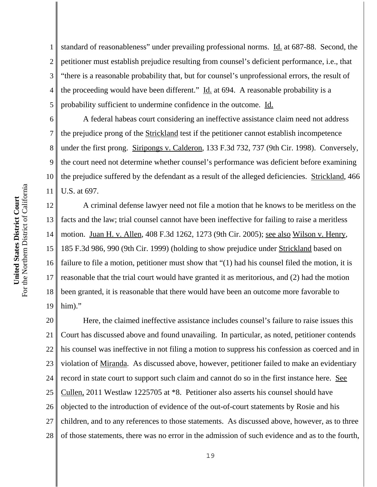7

8

9

1 2 3 4 5 standard of reasonableness" under prevailing professional norms. Id. at 687-88. Second, the petitioner must establish prejudice resulting from counsel's deficient performance, i.e., that "there is a reasonable probability that, but for counsel's unprofessional errors, the result of the proceeding would have been different."  $\underline{Id}$  at 694. A reasonable probability is a probability sufficient to undermine confidence in the outcome. Id.

6 10 11 A federal habeas court considering an ineffective assistance claim need not address the prejudice prong of the Strickland test if the petitioner cannot establish incompetence under the first prong. Siripongs v. Calderon, 133 F.3d 732, 737 (9th Cir. 1998). Conversely, the court need not determine whether counsel's performance was deficient before examining the prejudice suffered by the defendant as a result of the alleged deficiencies. Strickland, 466 U.S. at 697.

12 13 14 15 16 17 18 19 A criminal defense lawyer need not file a motion that he knows to be meritless on the facts and the law; trial counsel cannot have been ineffective for failing to raise a meritless motion. Juan H. v. Allen, 408 F.3d 1262, 1273 (9th Cir. 2005); see also Wilson v. Henry, 185 F.3d 986, 990 (9th Cir. 1999) (holding to show prejudice under Strickland based on failure to file a motion, petitioner must show that "(1) had his counsel filed the motion, it is reasonable that the trial court would have granted it as meritorious, and (2) had the motion been granted, it is reasonable that there would have been an outcome more favorable to him)."

20 21 22 23 24 25 26 27 28 Here, the claimed ineffective assistance includes counsel's failure to raise issues this Court has discussed above and found unavailing. In particular, as noted, petitioner contends his counsel was ineffective in not filing a motion to suppress his confession as coerced and in violation of Miranda. As discussed above, however, petitioner failed to make an evidentiary record in state court to support such claim and cannot do so in the first instance here. See Cullen, 2011 Westlaw 1225705 at \*8. Petitioner also asserts his counsel should have objected to the introduction of evidence of the out-of-court statements by Rosie and his children, and to any references to those statements. As discussed above, however, as to three of those statements, there was no error in the admission of such evidence and as to the fourth,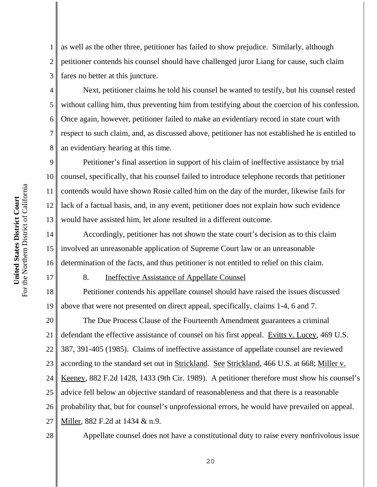1 2 3 as well as the other three, petitioner has failed to show prejudice. Similarly, although petitioner contends his counsel should have challenged juror Liang for cause, such claim fares no better at this juncture.

4 Next, petitioner claims he told his counsel he wanted to testify, but his counsel rested without calling him, thus preventing him from testifying about the coercion of his confession. Once again, however, petitioner failed to make an evidentiary record in state court with respect to such claim, and, as discussed above, petitioner has not established he is entitled to an evidentiary hearing at this time.

9 Petitioner's final assertion in support of his claim of ineffective assistance by trial counsel, specifically, that his counsel failed to introduce telephone records that petitioner contends would have shown Rosie called him on the day of the murder, likewise fails for lack of a factual basis, and, in any event, petitioner does not explain how such evidence would have assisted him, let alone resulted in a different outcome.

14 15 16 Accordingly, petitioner has not shown the state court's decision as to this claim involved an unreasonable application of Supreme Court law or an unreasonable determination of the facts, and thus petitioner is not entitled to relief on this claim.

# 17

5

6

7

8

### 8. Ineffective Assistance of Appellate Counsel

18 19 Petitioner contends his appellate counsel should have raised the issues discussed above that were not presented on direct appeal, specifically, claims 1-4, 6 and 7.

20 21 22 23 24 25 26 27 The Due Process Clause of the Fourteenth Amendment guarantees a criminal defendant the effective assistance of counsel on his first appeal.Evitts v. Lucey, 469 U.S. 387, 391-405 (1985). Claims of ineffective assistance of appellate counsel are reviewed according to the standard set out in Strickland. See Strickland, 466 U.S. at 668; Miller v. Keeney, 882 F.2d 1428, 1433 (9th Cir. 1989). A petitioner therefore must show his counsel's advice fell below an objective standard of reasonableness and that there is a reasonable probability that, but for counsel's unprofessional errors, he would have prevailed on appeal. Miller, 882 F.2d at 1434 & n.9.

28

Appellate counsel does not have a constitutional duty to raise every nonfrivolous issue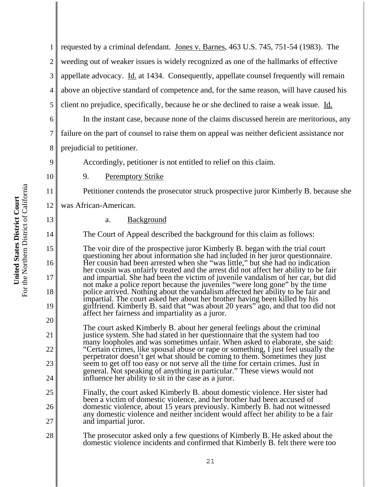17

18

19

20

21

22

23

24

25

26

27

6

1 2 3 4 5 requested by a criminal defendant. Jones v. Barnes, 463 U.S. 745, 751-54 (1983). The weeding out of weaker issues is widely recognized as one of the hallmarks of effective appellate advocacy. Id. at 1434. Consequently, appellate counsel frequently will remain above an objective standard of competence and, for the same reason, will have caused his client no prejudice, specifically, because he or she declined to raise a weak issue. Id.

In the instant case, because none of the claims discussed herein are meritorious, any failure on the part of counsel to raise them on appeal was neither deficient assistance nor prejudicial to petitioner.

Accordingly, petitioner is not entitled to relief on this claim.

9. Peremptory Strike

Petitioner contends the prosecutor struck prospective juror Kimberly B. because she

was African-American.

a. Background

The Court of Appeal described the background for this claim as follows:

The voir dire of the prospective juror Kimberly B. began with the trial court questioning her about information she had included in her juror questionnaire. Her cousin had been arrested when she "was little," but she had no indication her cousin was unfairly treated and the arrest did not affect her ability to be fair and impartial. She had been the victim of juvenile vandalism of her car, but did not make a police report because the juveniles "were long gone" by the time police arrived. Nothing about the vandalism affected her ability to be fair and impartial. The court asked her about her brother having been killed by his girlfriend. Kimberly B. said that "was about 20 years" ago, and that too did not affect her fairness and impartiality as a juror.

The court asked Kimberly B. about her general feelings about the criminal justice system. She had stated in her questionnaire that the system had too many loopholes and was sometimes unfair. When asked to elaborate, she said: "Certain crimes, like spousal abuse or rape or something, I just feel usually the perpetrator doesn't get what should be coming to them. Sometimes they just seem to get off too easy or not serve all the time for certain crimes. Just in general. Not speaking of anything in particular." These views would not influence her ability to sit in the case as a juror.

Finally, the court asked Kimberly B. about domestic violence. Her sister had been a victim of domestic violence, and her brother had been accused of domestic violence, about 15 years previously. Kimberly B. had not witnessed any domestic violence and neither incident would affect her ability to be a fair and impartial juror.

28 The prosecutor asked only a few questions of Kimberly B. He asked about the domestic violence incidents and confirmed that Kimberly B. felt there were too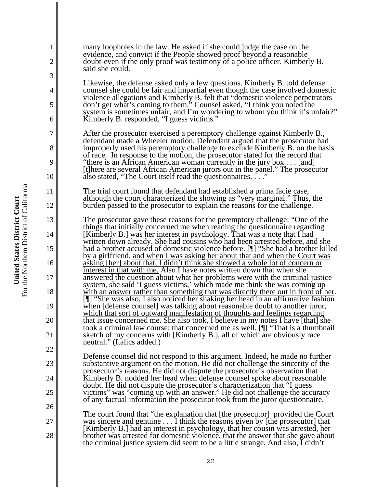many loopholes in the law. He asked if she could judge the case on the evidence, and convict if the People showed proof beyond a reasonable doubt-even if the only proof was testimony of a police officer. Kimberly B. said she could.

Likewise, the defense asked only a few questions. Kimberly B. told defense counsel she could be fair and impartial even though the case involved domestic violence allegations and Kimberly B. felt that "domestic violence perpetrators don't get what's coming to them." Counsel asked, "I think you noted the system is sometimes unfair, and I'm wondering to whom you think it's unfair?" Kimberly B. responded, "I guess victims."

After the prosecutor exercised a peremptory challenge against Kimberly B., defendant made a Wheeler motion. Defendant argued that the prosecutor had improperly used his peremptory challenge to exclude Kimberly B. on the basis of race. In response to the motion, the prosecutor stated for the record that "there is an African American woman currently in the jury box . . . [and] [t]here are several African American jurors out in the panel." The prosecutor also stated, "The Court itself read the questionnaires. . . ."

The trial court found that defendant had established a prima facie case, although the court characterized the showing as "very marginal." Thus, the burden passed to the prosecutor to explain the reasons for the challenge.

The prosecutor gave these reasons for the peremptory challenge: "One of the things that initially concerned me when reading the questionnaire regarding [Kimberly B.] was her interest in psychology. That was a note that I had written down already. She had cousins who had been arrested before, and she had a brother accused of domestic violence before. [¶] "She had a brother killed by a girlfriend, and when I was asking her about that and when the Court was asking [her] about that, I didn't think she showed a whole lot of concern or interest in that with me. Also I have notes written down that when she answered the question about what her problems were with the criminal justice system, she said 'I guess victims,' which made me think she was coming up with an answer rather than something that was directly there out in front of her. [I] "She was also, I also noticed her shaking her head in an affirmative fashion when [defense counsel] was talking about reasonable doubt to another juror, which that sort of outward manifestation of thoughts and feelings regarding that issue concerned me. She also took, I believe in my notes I have [that] she took a criminal law course; that concerned me as well. [¶] "That is a thumbnail sketch of my concerns with [Kimberly B.], all of which are obviously race neutral." (Italics added.)

Defense counsel did not respond to this argument. Indeed, he made no further substantive argument on the motion. He did not challenge the sincerity of the prosecutor's reasons. He did not dispute the prosecutor's observation that Kimberly B. nodded her head when defense counsel spoke about reasonable doubt. He did not dispute the prosecutor's characterization that "I guess victims" was "coming up with an answer." He did not challenge the accuracy of any factual information the prosecutor took from the juror questionnaire.

The court found that "the explanation that [the prosecutor] provided the Court was sincere and genuine . . . I think the reasons given by [the prosecutor] that [Kimberly B.] had an interest in psychology, that her cousin was arrested, her brother was arrested for domestic violence, that the answer that she gave about the criminal justice system did seem to be a little strange. And also, I didn't

1

2

3

4

5

6

7

8

9

10

11

12

13

14

15

16

17

18

19

20

21

22

23

24

25

26

27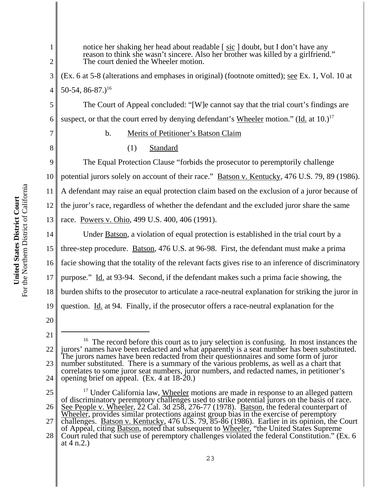1 2 3 4 5 6 7 8 9 10 11 12 13 14 15 16 17 18 19 20 21 notice her shaking her head about readable [sic ] doubt, but I don't have any reason to think she wasn't sincere. Also her brother was killed by a girlfriend." The court denied the Wheeler motion. (Ex. 6 at 5-8 (alterations and emphases in original) (footnote omitted); see Ex. 1, Vol. 10 at 50-54, 86-87.)<sup>16</sup> The Court of Appeal concluded: "[W]e cannot say that the trial court's findings are suspect, or that the court erred by denying defendant's Wheeler motion." (Id. at  $10.1<sup>17</sup>$ b. Merits of Petitioner's Batson Claim (1) Standard The Equal Protection Clause "forbids the prosecutor to peremptorily challenge potential jurors solely on account of their race." Batson v. Kentucky, 476 U.S. 79, 89 (1986). A defendant may raise an equal protection claim based on the exclusion of a juror because of the juror's race, regardless of whether the defendant and the excluded juror share the same race. Powers v. Ohio, 499 U.S. 400, 406 (1991). Under Batson, a violation of equal protection is established in the trial court by a three-step procedure. Batson, 476 U.S. at 96-98. First, the defendant must make a prima facie showing that the totality of the relevant facts gives rise to an inference of discriminatory purpose." Id. at 93-94. Second, if the defendant makes such a prima facie showing, the burden shifts to the prosecutor to articulate a race-neutral explanation for striking the juror in question. Id. at 94. Finally, if the prosecutor offers a race-neutral explanation for the

<sup>22</sup> 23 24  $16$  The record before this court as to jury selection is confusing. In most instances the jurors' names have been redacted and what apparently is a seat number has been substituted. The jurors names have been redacted from their questionnaires and some form of juror number substituted. There is a summary of the various problems, as well as a chart that correlates to some juror seat numbers, juror numbers, and redacted names, in petitioner's opening brief on appeal.  $(Ex. 4$  at  $18-20$ .)

<sup>25</sup> 26 27 <sup>17</sup> Under California law, Wheeler motions are made in response to an alleged pattern of discriminatory peremptory challenges used to strike potential jurors on the basis of race. See People v. Wheeler, 22 Cal. 3d 258, 276-77 (1978). Batson, the federal counterpart of Wheeler, provides similar protections against group bias in the exercise of peremptory challenges. Batson v. Kentucky, 476 U.S. 79, 85-86 (1986). Earlier in its opinion, the Court

<sup>28</sup> of Appeal, citing Batson, noted that subsequent to Wheeler, "the United States Supreme Court ruled that such use of peremptory challenges violated the federal Constitution." (Ex. 6 at 4 n.2.)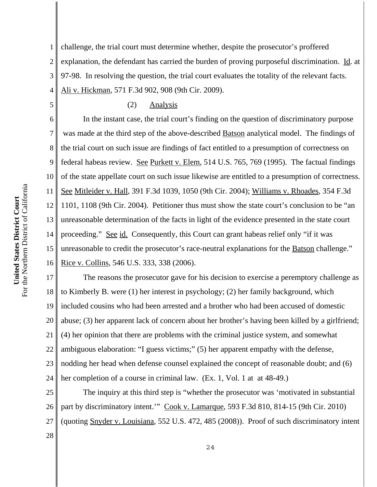1 2 3 4 challenge, the trial court must determine whether, despite the prosecutor's proffered explanation, the defendant has carried the burden of proving purposeful discrimination. Id. at 97-98. In resolving the question, the trial court evaluates the totality of the relevant facts. Ali v. Hickman*,* 571 F.3d 902, 908 (9th Cir. 2009).

## (2) Analysis

6 7 8 9 10 11 12 13 14 15 16 In the instant case, the trial court's finding on the question of discriminatory purpose was made at the third step of the above-described Batson analytical model. The findings of the trial court on such issue are findings of fact entitled to a presumption of correctness on federal habeas review. See Purkett v. Elem, 514 U.S. 765, 769 (1995). The factual findings of the state appellate court on such issue likewise are entitled to a presumption of correctness. See Mitleider v. Hall, 391 F.3d 1039, 1050 (9th Cir. 2004); Williams v. Rhoades, 354 F.3d 1101, 1108 (9th Cir. 2004). Petitioner thus must show the state court's conclusion to be "an unreasonable determination of the facts in light of the evidence presented in the state court proceeding." See id. Consequently, this Court can grant habeas relief only "if it was unreasonable to credit the prosecutor's race-neutral explanations for the Batson challenge." Rice v. Collins, 546 U.S. 333, 338 (2006).

17 18 19 20 21 22 23 24 The reasons the prosecutor gave for his decision to exercise a peremptory challenge as to Kimberly B. were (1) her interest in psychology; (2) her family background, which included cousins who had been arrested and a brother who had been accused of domestic abuse; (3) her apparent lack of concern about her brother's having been killed by a girlfriend; (4) her opinion that there are problems with the criminal justice system, and somewhat ambiguous elaboration: "I guess victims;" (5) her apparent empathy with the defense, nodding her head when defense counsel explained the concept of reasonable doubt; and (6) her completion of a course in criminal law. (Ex. 1, Vol. 1 at at 48-49.)

25 26 27 The inquiry at this third step is "whether the prosecutor was 'motivated in substantial part by discriminatory intent.'" Cook v. Lamarque, 593 F.3d 810, 814-15 (9th Cir. 2010) (quoting Snyder v. Louisiana, 552 U.S. 472, 485 (2008)). Proof of such discriminatory intent

28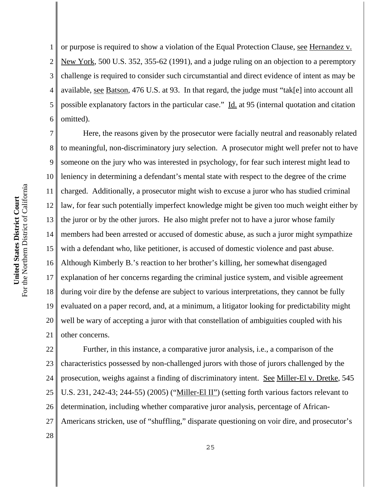1 2 3 4 5 6 or purpose is required to show a violation of the Equal Protection Clause, see Hernandez v. New York, 500 U.S. 352, 355-62 (1991), and a judge ruling on an objection to a peremptory challenge is required to consider such circumstantial and direct evidence of intent as may be available, see Batson, 476 U.S. at 93. In that regard, the judge must "tak[e] into account all possible explanatory factors in the particular case." Id. at 95 (internal quotation and citation omitted).

7 8 9 10 11 12 13 14 15 16 17 18 19 20 21 Here, the reasons given by the prosecutor were facially neutral and reasonably related to meaningful, non-discriminatory jury selection. A prosecutor might well prefer not to have someone on the jury who was interested in psychology, for fear such interest might lead to leniency in determining a defendant's mental state with respect to the degree of the crime charged. Additionally, a prosecutor might wish to excuse a juror who has studied criminal law, for fear such potentially imperfect knowledge might be given too much weight either by the juror or by the other jurors. He also might prefer not to have a juror whose family members had been arrested or accused of domestic abuse, as such a juror might sympathize with a defendant who, like petitioner, is accused of domestic violence and past abuse. Although Kimberly B.'s reaction to her brother's killing, her somewhat disengaged explanation of her concerns regarding the criminal justice system, and visible agreement during voir dire by the defense are subject to various interpretations, they cannot be fully evaluated on a paper record, and, at a minimum, a litigator looking for predictability might well be wary of accepting a juror with that constellation of ambiguities coupled with his other concerns.

22 23 24 25 26 27 Further, in this instance, a comparative juror analysis, i.e., a comparison of the characteristics possessed by non-challenged jurors with those of jurors challenged by the prosecution, weighs against a finding of discriminatory intent. See Miller-El v. Dretke, 545 U.S. 231, 242-43; 244-55) (2005) ("Miller-El II") (setting forth various factors relevant to determination, including whether comparative juror analysis, percentage of African-Americans stricken, use of "shuffling," disparate questioning on voir dire, and prosecutor's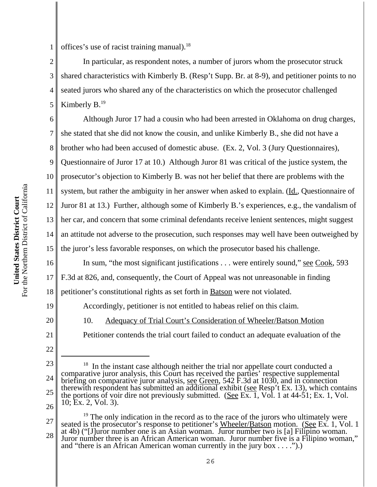1 offices's use of racist training manual).<sup>18</sup>

2 3 4 5 In particular, as respondent notes, a number of jurors whom the prosecutor struck shared characteristics with Kimberly B. (Resp't Supp. Br. at 8-9), and petitioner points to no seated jurors who shared any of the characteristics on which the prosecutor challenged Kimberly  $B<sup>19</sup>$ 

6 7 8 9 10 11 12 13 14 15 Although Juror 17 had a cousin who had been arrested in Oklahoma on drug charges, she stated that she did not know the cousin, and unlike Kimberly B., she did not have a brother who had been accused of domestic abuse. (Ex. 2, Vol. 3 (Jury Questionnaires), Questionnaire of Juror 17 at 10.) Although Juror 81 was critical of the justice system, the prosecutor's objection to Kimberly B. was not her belief that there are problems with the system, but rather the ambiguity in her answer when asked to explain. (Id., Questionnaire of Juror 81 at 13.) Further, although some of Kimberly B.'s experiences, e.g., the vandalism of her car, and concern that some criminal defendants receive lenient sentences, might suggest an attitude not adverse to the prosecution, such responses may well have been outweighed by the juror's less favorable responses, on which the prosecutor based his challenge.

16 17 18 In sum, "the most significant justifications . . . were entirely sound," <u>see Cook</u>, 593 F.3d at 826, and, consequently, the Court of Appeal was not unreasonable in finding petitioner's constitutional rights as set forth in Batson were not violated.

Accordingly, petitioner is not entitled to habeas relief on this claim.

10. Adequacy of Trial Court's Consideration of Wheeler/Batson Motion

Petitioner contends the trial court failed to conduct an adequate evaluation of the

19

20

21

22

24 25 26  $18$  In the instant case although neither the trial nor appellate court conducted a comparative juror analysis, this Court has received the parties' respective supplemental briefing on comparative juror analysis, <u>see Green</u>, 542 F.3d at 1030, and in connection therewith respondent has submitted an additional exhibit (see Resp't Ex. 13), which contains the portions of voir dire not previously submitted. (See  $\overline{Ex. 1}$ , Vol. 1 at 44-51; Ex. 1, Vol. 10; Ex. 2, Vol. 3).

27 28 <sup>19</sup> The only indication in the record as to the race of the jurors who ultimately were seated is the prosecutor's response to petitioner's Wheeler/Batson motion. (See Ex. 1, Vol. 1) at 4b) ("[J]uror number one is an Asian woman. Juror number two is [a] Filipino woman. Juror number three is an African American woman. Juror number five is a Filipino woman," and "there is an African American woman currently in the jury box . . . .").)

<sup>23</sup>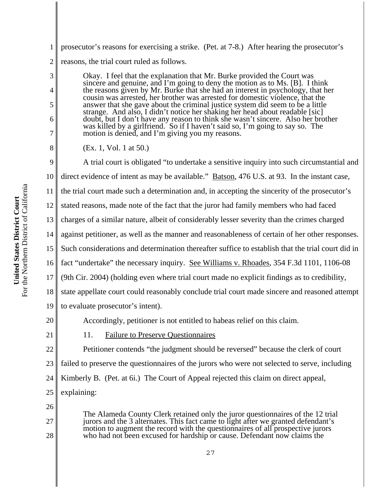For the Northern District of California For the Northern District of California United States District Court **United States District Court**

3

4

5

6

7

8

1 2 prosecutor's reasons for exercising a strike. (Pet. at 7-8.) After hearing the prosecutor's reasons, the trial court ruled as follows.

Okay. I feel that the explanation that Mr. Burke provided the Court was sincere and genuine, and I'm going to deny the motion as to Ms. [B]. I think the reasons given by Mr. Burke that she had an interest in psychology, that her cousin was arrested, her brother was arrested for domestic violence, that the answer that she gave about the criminal justice system did seem to be a little strange. And also, I didn't notice her shaking her head about readable [sic] doubt, but I don't have any reason to think she wasn't sincere. Also her brother was killed by a girlfriend. So if I haven't said so, I'm going to say so. The motion is denied, and I'm giving you my reasons.

(Ex. 1, Vol. 1 at 50.)

9 10 11 12 13 14 15 16 17 18 19 20 21 22 23 A trial court is obligated "to undertake a sensitive inquiry into such circumstantial and direct evidence of intent as may be available." Batson, 476 U.S. at 93. In the instant case, the trial court made such a determination and, in accepting the sincerity of the prosecutor's stated reasons, made note of the fact that the juror had family members who had faced charges of a similar nature, albeit of considerably lesser severity than the crimes charged against petitioner, as well as the manner and reasonableness of certain of her other responses. Such considerations and determination thereafter suffice to establish that the trial court did in fact "undertake" the necessary inquiry. <u>See Williams v. Rhoades</u>, 354 F.3d 1101, 1106-08 (9th Cir. 2004) (holding even where trial court made no explicit findings as to credibility, state appellate court could reasonably conclude trial court made sincere and reasoned attempt to evaluate prosecutor's intent). Accordingly, petitioner is not entitled to habeas relief on this claim. 11. Failure to Preserve Questionnaires Petitioner contends "the judgment should be reversed" because the clerk of court failed to preserve the questionnaires of the jurors who were not selected to serve, including

24 Kimberly B. (Pet. at 6i.) The Court of Appeal rejected this claim on direct appeal,

25 explaining:

26

- 27
- 28

The Alameda County Clerk retained only the juror questionnaires of the 12 trial jurors and the 3 alternates. This fact came to light after we granted defendant's motion to augment the record with the questionnaires of all prospective jurors who had not been excused for hardship or cause. Defendant now claims the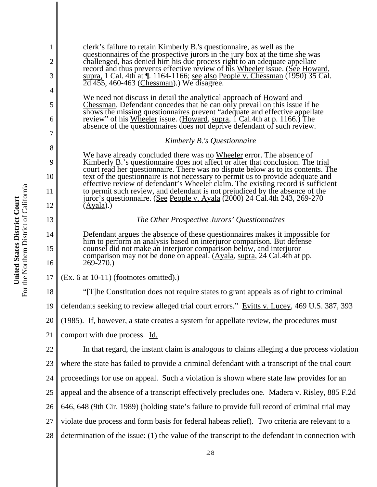| clerk's failure to retain Kimberly B.'s question aire, as well as the                |
|--------------------------------------------------------------------------------------|
| questionnaires of the prospective jurors in the jury box at the time she was         |
| challenged, has denied him his due process right to an adequate appellate            |
| record and thus prevents effective review of his Wheeler issue. (See Howard,         |
| supra, 1 Cal. 4th at 1. 1164-1166; <u>see also People v. Chessman</u> (1950) 35 Cal. |
| $2\overline{d}$ 455, 460-463 (Chessman).) We disagree.                               |

We need not discuss in detail the analytical approach of **Howard** and Chessman. Defendant concedes that he can only prevail on this issue if he shows the missing questionnaires prevent "adequate and effective appellate review" of his Wheeler issue. (Howard, supra, 1 Cal.4th at p. 1166.) The absence of the questionnaires does not deprive defendant of such review.

#### *Kimberly B.'s Questionnaire*

We have already concluded there was no Wheeler error. The absence of Kimberly B.'s questionnaire does not affect or alter that conclusion. The trial court read her questionnaire. There was no dispute below as to its contents. The text of the questionnaire is not necessary to permit us to provide adequate and effective review of defendant's Wheeler claim. The existing record is sufficient to permit such review, and defendant is not prejudiced by the absence of the juror's questionnaire. (See People v. Ayala (2000) 24 Cal.4th 243, 269-270  $(Ayala)$ .

## *The Other Prospective Jurors' Questionnaires*

Defendant argues the absence of these questionnaires makes it impossible for him to perform an analysis based on interjuror comparison. But defense counsel did not make an interjuror comparison below, and interjuror comparison may not be done on appeal. (Ayala, supra, 24 Cal.4th at pp. 269-270.)

17  $(Ex. 6$  at 10-11) (footnotes omitted).)

18 19 20 "[T]he Constitution does not require states to grant appeals as of right to criminal defendants seeking to review alleged trial court errors." Evitts v. Lucey, 469 U.S. 387, 393 (1985). If, however, a state creates a system for appellate review, the procedures must

21 comport with due process. Id.

22 23 24 25 26 27 28 In that regard, the instant claim is analogous to claims alleging a due process violation where the state has failed to provide a criminal defendant with a transcript of the trial court proceedings for use on appeal. Such a violation is shown where state law provides for an appeal and the absence of a transcript effectively precludes one. Madera v. Risley, 885 F.2d 646, 648 (9th Cir. 1989) (holding state's failure to provide full record of criminal trial may violate due process and form basis for federal habeas relief). Two criteria are relevant to a determination of the issue: (1) the value of the transcript to the defendant in connection with

1

2

3

4

5

6

7

8

9

10

11

12

13

14

15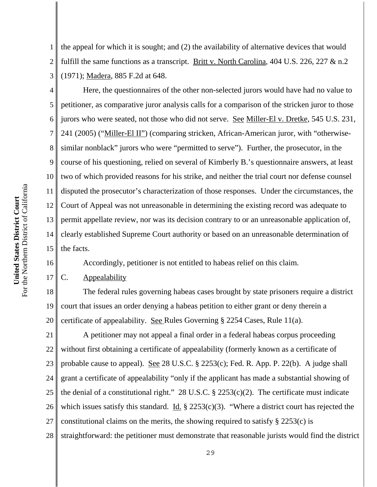1 2 3 the appeal for which it is sought; and (2) the availability of alternative devices that would fulfill the same functions as a transcript. Britt v. North Carolina, 404 U.S. 226, 227 & n.2 (1971); Madera, 885 F.2d at 648.

4 5 6 7 8 9 10 11 12 13 14 15 Here, the questionnaires of the other non-selected jurors would have had no value to petitioner, as comparative juror analysis calls for a comparison of the stricken juror to those jurors who were seated, not those who did not serve. See Miller-El v. Dretke, 545 U.S. 231, 241 (2005) ("Miller-El II") (comparing stricken, African-American juror, with "otherwisesimilar nonblack" jurors who were "permitted to serve"). Further, the prosecutor, in the course of his questioning, relied on several of Kimberly B.'s questionnaire answers, at least two of which provided reasons for his strike, and neither the trial court nor defense counsel disputed the prosecutor's characterization of those responses. Under the circumstances, the Court of Appeal was not unreasonable in determining the existing record was adequate to permit appellate review, nor was its decision contrary to or an unreasonable application of, clearly established Supreme Court authority or based on an unreasonable determination of the facts.

Accordingly, petitioner is not entitled to habeas relief on this claim.

C. Appealability

18 19 20 The federal rules governing habeas cases brought by state prisoners require a district court that issues an order denying a habeas petition to either grant or deny therein a certificate of appealability. See Rules Governing § 2254 Cases, Rule 11(a).

21 22 23 24 25 26 27 28 A petitioner may not appeal a final order in a federal habeas corpus proceeding without first obtaining a certificate of appealability (formerly known as a certificate of probable cause to appeal). See 28 U.S.C. § 2253(c); Fed. R. App. P. 22(b). A judge shall grant a certificate of appealability "only if the applicant has made a substantial showing of the denial of a constitutional right." 28 U.S.C.  $\S$  2253(c)(2). The certificate must indicate which issues satisfy this standard. Id.  $\S$  2253(c)(3). "Where a district court has rejected the constitutional claims on the merits, the showing required to satisfy § 2253(c) is straightforward: the petitioner must demonstrate that reasonable jurists would find the district

16